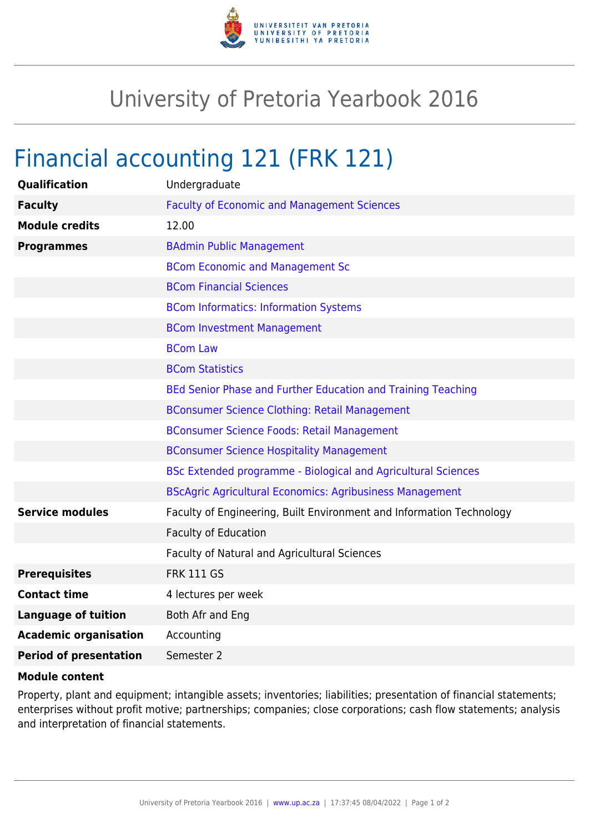

## University of Pretoria Yearbook 2016

## Financial accounting 121 (FRK 121)

| Qualification                 | Undergraduate                                                        |
|-------------------------------|----------------------------------------------------------------------|
| <b>Faculty</b>                | <b>Faculty of Economic and Management Sciences</b>                   |
| <b>Module credits</b>         | 12.00                                                                |
| <b>Programmes</b>             | <b>BAdmin Public Management</b>                                      |
|                               | <b>BCom Economic and Management Sc</b>                               |
|                               | <b>BCom Financial Sciences</b>                                       |
|                               | <b>BCom Informatics: Information Systems</b>                         |
|                               | <b>BCom Investment Management</b>                                    |
|                               | <b>BCom Law</b>                                                      |
|                               | <b>BCom Statistics</b>                                               |
|                               | BEd Senior Phase and Further Education and Training Teaching         |
|                               | <b>BConsumer Science Clothing: Retail Management</b>                 |
|                               | <b>BConsumer Science Foods: Retail Management</b>                    |
|                               | <b>BConsumer Science Hospitality Management</b>                      |
|                               | BSc Extended programme - Biological and Agricultural Sciences        |
|                               | <b>BScAgric Agricultural Economics: Agribusiness Management</b>      |
| <b>Service modules</b>        | Faculty of Engineering, Built Environment and Information Technology |
|                               | <b>Faculty of Education</b>                                          |
|                               | Faculty of Natural and Agricultural Sciences                         |
| <b>Prerequisites</b>          | <b>FRK 111 GS</b>                                                    |
| <b>Contact time</b>           | 4 lectures per week                                                  |
| <b>Language of tuition</b>    | Both Afr and Eng                                                     |
| <b>Academic organisation</b>  | Accounting                                                           |
| <b>Period of presentation</b> | Semester 2                                                           |

## **Module content**

Property, plant and equipment; intangible assets; inventories; liabilities; presentation of financial statements; enterprises without profit motive; partnerships; companies; close corporations; cash flow statements; analysis and interpretation of financial statements.